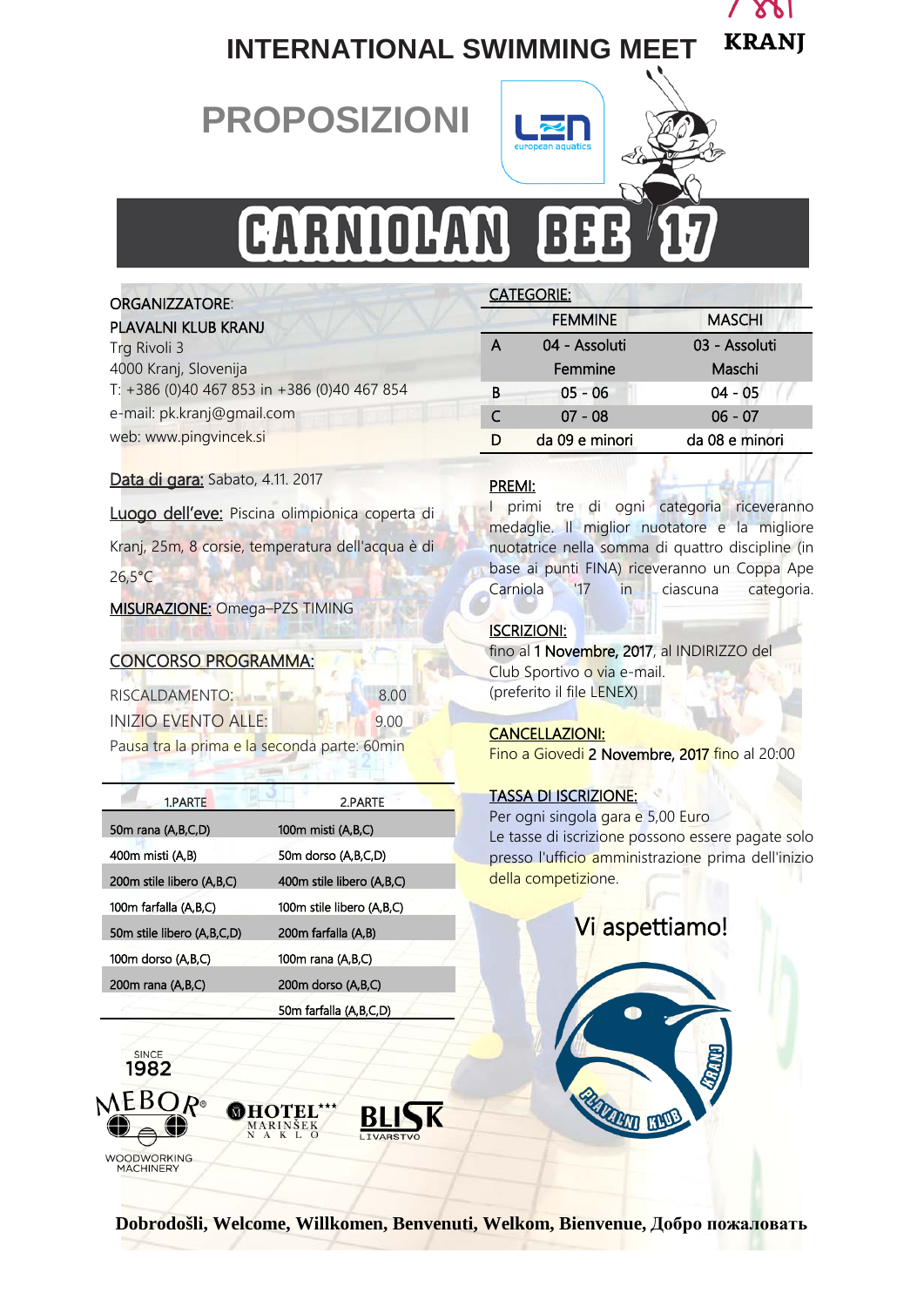

# **INTERNATIONAL SWIMMING MEET**

# **PROPOSIZIONI**



CATEGORIE:

A 04 - Assoluti

Femmine

# CARNIOLAN B

#### ORGANIZZATORE:

#### PLAVALNI KLUB KRANJ

| Trg Rivoli 3                                |
|---------------------------------------------|
| 4000 Kranj, Slovenija                       |
| T: +386 (0)40 467 853 in +386 (0)40 467 854 |
| e-mail: pk.kranj@gmail.com                  |
| web: www.pingvincek.si                      |

#### Data di gara: Sabato, 4.11. 2017

Luogo dell'eve: Piscina olimpionica coperta di Kranj, 25m, 8 corsie, temperatura dell'acqua è di 26,5°C

#### MISURAZIONE: Omega–PZS [TIMING](http://www.timingljubljana.si/)

#### CONCORSO PROGRAMMA:

| RISCALDAMENTO: | 8.00 |
|----------------|------|

| RISCALDAMENTO:      | 8.00 |
|---------------------|------|
| INIZIO EVENTO ALLE: | 9.00 |

Pausa tra la prima e la seconda parte: 60min

| 1.PARTE                    | 2.PARTE                   |
|----------------------------|---------------------------|
| 50m rana (A,B,C,D)         | 100m misti (A,B,C)        |
| 400m misti (A,B)           | 50m dorso (A,B,C,D)       |
| 200m stile libero (A,B,C)  | 400m stile libero (A,B,C) |
| 100m farfalla (A,B,C)      | 100m stile libero (A.B.C) |
| 50m stile libero (A,B,C,D) | 200m farfalla (A,B)       |
| 100m dorso (A,B,C)         | 100m rana (A,B,C)         |
| 200m rana (A,B,C)          | 200m dorso (A,B,C)        |
|                            | 50m farfalla (A,B,C,D)    |

MARINŠEK<br>NAKLO



#### PREMI:

I primi tre di ogni categoria riceveranno medaglie. Il miglior nuotatore e la migliore nuotatrice nella somma di quattro discipline (in base ai punti FINA) riceveranno un Coppa Ape Carniola '17 in ciascuna categoria.

FEMMINE MASCHI

B 05 - 06 04 - 05 C 07 - 08 06 - 07 D da 09 e minori da 08 e minori

03 - Assoluti Maschi

#### ISCRIZIONI:

j

fino al 1 Novembre, 2017, al INDIRIZZO del Club Sportivo o via e-mail. (preferito il file LENEX)

#### CANCELLAZIONI:

Fino a Giovedi 2 Novembre, 2017 fino al 20:00

#### TASSA DI ISCRIZIONE:

Per ogni singola gara e 5,00 Euro Le tasse di iscrizione possono essere pagate solo presso l'ufficio amministrazione prima dell'inizio della competizione.

# Vi aspettiamo!

I

**ANTI BRADE** 



**BLISK**